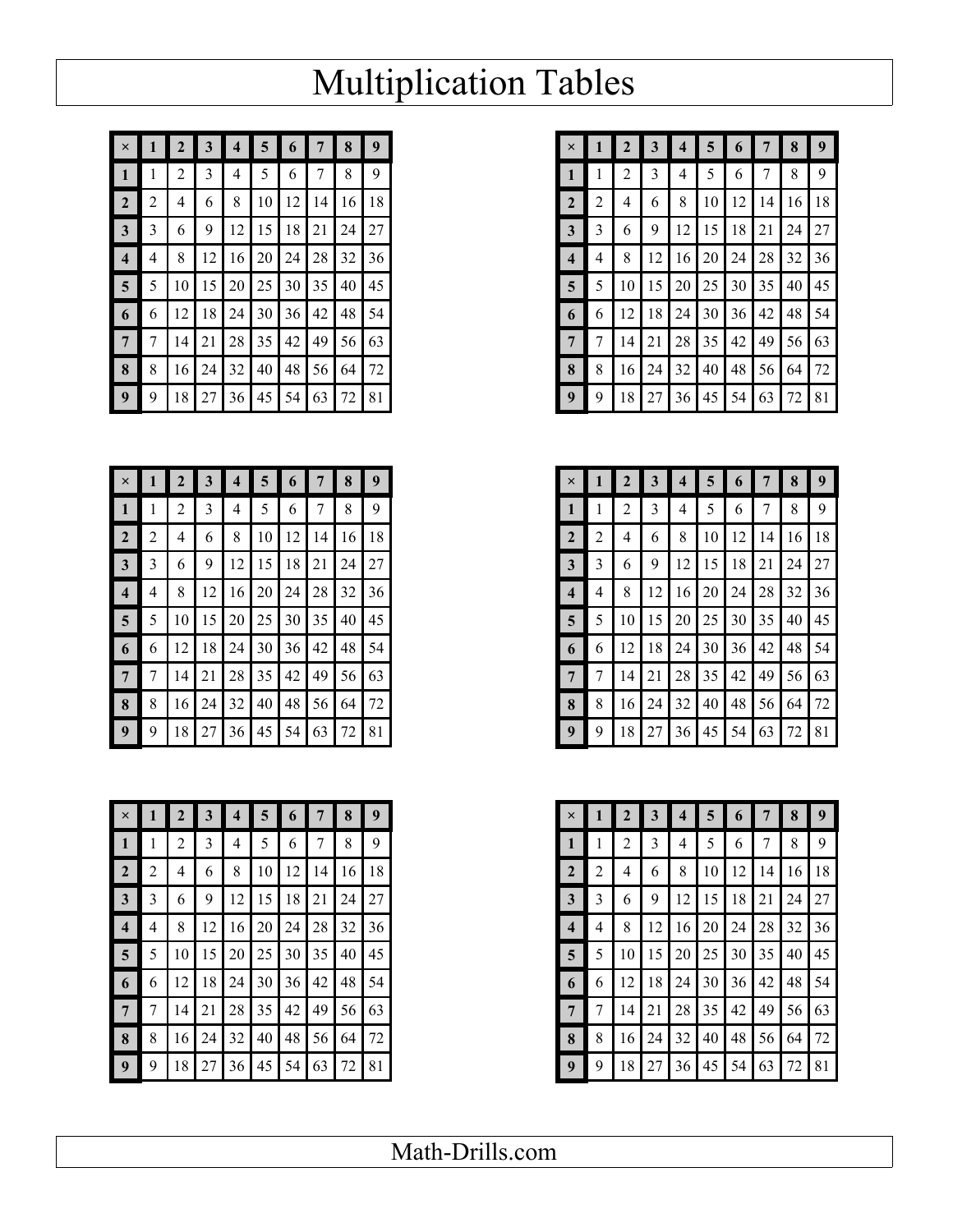## Multiplication Tables

| $\times$ |   |    |    |    |    |    |    | 8  | 9  |
|----------|---|----|----|----|----|----|----|----|----|
|          |   | 2  | 3  | 4  |    | 6  |    | 8  | 9  |
| 2        | 2 | 4  | 6  | 8  | 10 | 12 | 14 | 16 | 18 |
| 3        | 3 | 6  | 9  | 12 | 15 | 18 | 21 | 24 | 27 |
| 4        | 4 | 8  | 12 | 16 | 20 | 24 | 28 | 32 | 36 |
| 5        | 5 | 10 | 15 | 20 | 25 | 30 | 35 | 40 | 45 |
| 6        | 6 | 12 | 18 | 24 | 30 | 36 | 42 | 48 | 54 |
| 7        |   | 14 | 21 | 28 | 35 | 42 | 49 | 56 | 63 |
| 8        | 8 | 16 | 24 | 32 | 40 | 48 | 56 | 64 | 72 |
| 9        | 9 | 18 | 27 | 36 | 45 | 54 | 63 | 72 | 81 |

| $\times$       |   |                 | 3  |    | 5  | $\mathbf{v}$ |    | 8  | 9  |
|----------------|---|-----------------|----|----|----|--------------|----|----|----|
|                |   | 2               | 3  | 4  | 5  | <sub>6</sub> | 7  | 8  | 9  |
| $\overline{2}$ | 2 | 4               | 6  | 8  | 10 | 12           | 14 | 16 | 18 |
| 3              | 3 | 6               | 9  | 12 | 15 | 18           | 21 | 24 | 27 |
| 4              | 4 | 8               | 12 | 16 | 20 | 24           | 28 | 32 | 36 |
| 5              | 5 | 10 <sup>1</sup> | 15 | 20 | 25 | 30           | 35 | 40 | 45 |
| 6              | 6 | 12              | 18 | 24 | 30 | 36           | 42 | 48 | 54 |
| 7              | 7 | 14              | 21 | 28 | 35 | 42           | 49 | 56 | 63 |
| 8              | 8 | 16              | 24 | 32 | 40 | 48           | 56 | 64 | 72 |
| 9              | 9 | 18              | 27 | 36 | 45 | 54           | 63 | 72 | 81 |

| $\mathsf{x}$            |                | $\mathbf{2}$   | 3 <sup>2</sup> |                | $4 \mid 5$      | 6            | 7 <sup>7</sup>                            | 8  | 9          |
|-------------------------|----------------|----------------|----------------|----------------|-----------------|--------------|-------------------------------------------|----|------------|
| $\mathbf{1}$            | 1              | $\overline{2}$ | $\overline{3}$ | $\overline{4}$ | $\vert 5 \vert$ | 6            | $7\overline{ }$                           | 8  | 9          |
| $\overline{2}$          | $\overline{2}$ | $\overline{4}$ | 6              | 8              |                 | $10 \mid 12$ | $\vert$ 14                                | 16 | 18         |
| $\overline{\mathbf{3}}$ | $\mathfrak{Z}$ | 6              | 9              |                | $12$ 15 18      |              | $21 \mid 24$                              |    | 27         |
| $\overline{\mathbf{4}}$ | $\overline{4}$ | 8 I            |                |                |                 |              | 12   16   20   24   28   32               |    | 36         |
| $5\phantom{.0}$         | 5 <sup>1</sup> | 10             |                |                |                 |              | 15   20   25   30   35   40               |    | $\vert$ 45 |
| 6                       | 6              |                |                |                |                 |              | 12   18   24   30   36   42   48   54     |    |            |
| 7 <sup>7</sup>          |                |                |                |                |                 |              | 7   14   21   28   35   42   49   56      |    | 63         |
| 8                       | 8              | 16             |                |                |                 |              | $\mid$ 24   32   40   48   56   64        |    | 72         |
| 9 <sup>1</sup>          |                |                |                |                |                 |              | 9   18   27   36   45   54   63   72   81 |    |            |

| ×              |   | $\mathbf{c}$   | 3  | 4  | 5  | 6  | 7                | 8      | 9  |
|----------------|---|----------------|----|----|----|----|------------------|--------|----|
| 1              | 1 | $\overline{c}$ | 3  | 4  | 5  | 6  | $\boldsymbol{7}$ | 8      | 9  |
| $\overline{2}$ | 2 | 4              | 6  | 8  | 10 | 12 | 14               | 1<br>6 | 18 |
| 3              | 3 | 6              | 9  | 12 | 15 | 18 | 21               | 24     | 27 |
| 4              | 4 | 8              | 12 | 16 | 20 | 24 | 28               | 32     | 36 |
| 5              | 5 | 10             | 15 | 20 | 25 | 30 | 35               | 40     | 45 |
| 6              | 6 | 12             | 18 | 24 | 30 | 36 | 42               | 48     | 54 |
| 7              | 7 | 14             | 21 | 28 | 35 | 42 | 49               | 56     | 63 |
| 8              | 8 | 16             | 24 | 32 | 40 | 48 | 56               | 64     | 72 |
| 9              | 9 | 18             | 27 | 36 | 45 | 54 | 63               |        | 81 |

| ×                       | 1 | $\overline{\mathbf{c}}$ | 3  | 4  | 5  | 6  | 7  | 8  | 9  |
|-------------------------|---|-------------------------|----|----|----|----|----|----|----|
| 1                       | 1 | 2                       | 3  | 4  | 5  | 6  | 7  | 8  | 9  |
| $\boldsymbol{2}$        | 2 | 4                       | 6  | 8  | 10 | 12 | 14 | 16 | 18 |
| 3                       | 3 | 6                       | 9  | 12 | 15 | 18 | 21 | 24 | 27 |
| $\overline{\mathbf{4}}$ | 4 | 8                       | 12 | 16 | 20 | 24 | 28 | 32 | 36 |
| 5                       | 5 | 10                      | 15 | 20 | 25 | 30 | 35 | 40 | 45 |
| 6                       | 6 | 12                      | 18 | 24 | 30 | 36 | 42 | 48 | 54 |
| 7                       | 7 | 14                      | 21 | 28 | 35 | 42 | 49 | 56 | 63 |
| 8                       | 8 | 16                      | 24 | 32 | 40 | 48 | 56 | 64 | 72 |
| 9                       | 9 | 18                      | 27 | 36 | 45 | 54 | 63 | 72 | 81 |

| $\times$         |   |    | 3  |    |    | $\mathbf o$ |    | 8             | 9  |
|------------------|---|----|----|----|----|-------------|----|---------------|----|
| $\mathbf{I}$     |   | 2  | 3  | 4  | 5  | 6           |    | 8             | 9  |
| $\overline{2}$   | 2 | 4  | 6  | 8  | 10 | 12          | 14 | 16            | 18 |
| $\overline{3}$   | 3 | 6  | 9  | 12 | 15 | 18          | 21 | 24            | 27 |
| $\boldsymbol{4}$ | 4 | 8  | 12 | 16 | 20 | 24          | 28 | 32            | 36 |
| 5                | 5 | 10 | 15 | 20 | 25 | 30          | 35 | 40            | 45 |
| -6               | 6 | 12 | 18 | 24 | 30 | 36          | 42 | 48            | 54 |
| 7                | 7 | 14 | 21 | 28 | 35 | 42          | 49 | 56            | 63 |
| 8                | 8 | 16 | 24 | 32 | 40 | 48          | 56 | <sup>64</sup> | 72 |
| 9                | 9 | 18 | 27 | 36 | 45 | 54          | 63 | 72            | 81 |